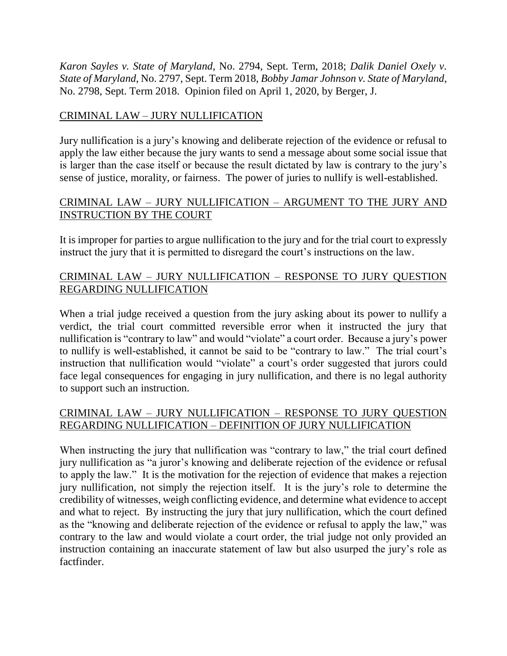*Karon Sayles v. State of Maryland*, No. 2794, Sept. Term, 2018; *Dalik Daniel Oxely v. State of Maryland*, No. 2797, Sept. Term 2018, *Bobby Jamar Johnson v. State of Maryland*, No. 2798, Sept. Term 2018. Opinion filed on April 1, 2020, by Berger, J.

# CRIMINAL LAW – JURY NULLIFICATION

Jury nullification is a jury's knowing and deliberate rejection of the evidence or refusal to apply the law either because the jury wants to send a message about some social issue that is larger than the case itself or because the result dictated by law is contrary to the jury's sense of justice, morality, or fairness. The power of juries to nullify is well-established.

## CRIMINAL LAW – JURY NULLIFICATION – ARGUMENT TO THE JURY AND INSTRUCTION BY THE COURT

It is improper for parties to argue nullification to the jury and for the trial court to expressly instruct the jury that it is permitted to disregard the court's instructions on the law.

# CRIMINAL LAW – JURY NULLIFICATION – RESPONSE TO JURY QUESTION REGARDING NULLIFICATION

When a trial judge received a question from the jury asking about its power to nullify a verdict, the trial court committed reversible error when it instructed the jury that nullification is "contrary to law" and would "violate" a court order. Because a jury's power to nullify is well-established, it cannot be said to be "contrary to law." The trial court's instruction that nullification would "violate" a court's order suggested that jurors could face legal consequences for engaging in jury nullification, and there is no legal authority to support such an instruction.

## CRIMINAL LAW – JURY NULLIFICATION – RESPONSE TO JURY QUESTION REGARDING NULLIFICATION – DEFINITION OF JURY NULLIFICATION

When instructing the jury that nullification was "contrary to law," the trial court defined jury nullification as "a juror's knowing and deliberate rejection of the evidence or refusal to apply the law." It is the motivation for the rejection of evidence that makes a rejection jury nullification, not simply the rejection itself. It is the jury's role to determine the credibility of witnesses, weigh conflicting evidence, and determine what evidence to accept and what to reject. By instructing the jury that jury nullification, which the court defined as the "knowing and deliberate rejection of the evidence or refusal to apply the law," was contrary to the law and would violate a court order, the trial judge not only provided an instruction containing an inaccurate statement of law but also usurped the jury's role as factfinder.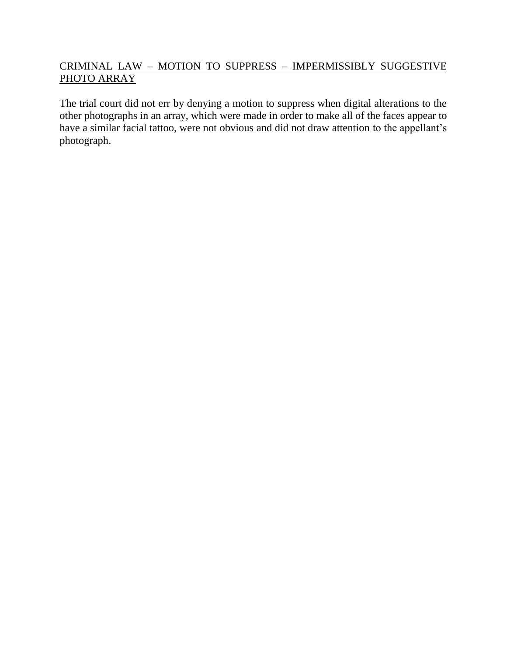# CRIMINAL LAW – MOTION TO SUPPRESS – IMPERMISSIBLY SUGGESTIVE PHOTO ARRAY

The trial court did not err by denying a motion to suppress when digital alterations to the other photographs in an array, which were made in order to make all of the faces appear to have a similar facial tattoo, were not obvious and did not draw attention to the appellant's photograph.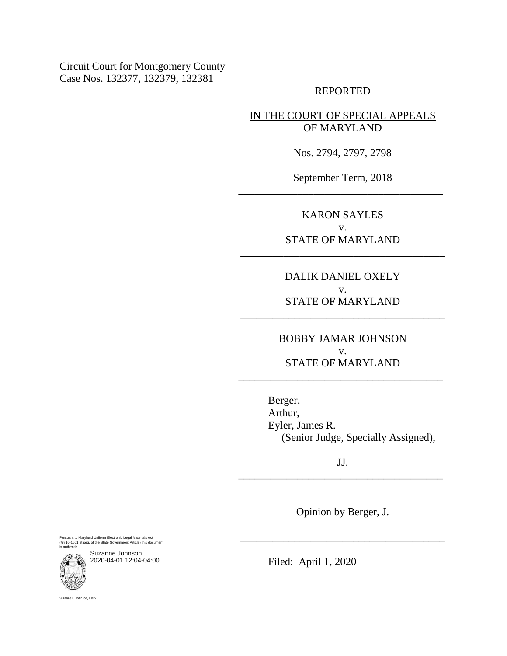Circuit Court for Montgomery County Case Nos. 132377, 132379, 132381

#### REPORTED

## IN THE COURT OF SPECIAL APPEALS OF MARYLAND

Nos. 2794, 2797, 2798

September Term, 2018 \_\_\_\_\_\_\_\_\_\_\_\_\_\_\_\_\_\_\_\_\_\_\_\_\_\_\_\_\_\_\_\_\_\_\_\_\_\_

> KARON SAYLES v. STATE OF MARYLAND

\_\_\_\_\_\_\_\_\_\_\_\_\_\_\_\_\_\_\_\_\_\_\_\_\_\_\_\_\_\_\_\_\_\_\_\_\_\_

DALIK DANIEL OXELY v. STATE OF MARYLAND

\_\_\_\_\_\_\_\_\_\_\_\_\_\_\_\_\_\_\_\_\_\_\_\_\_\_\_\_\_\_\_\_\_\_\_\_\_\_

BOBBY JAMAR JOHNSON v. STATE OF MARYLAND

\_\_\_\_\_\_\_\_\_\_\_\_\_\_\_\_\_\_\_\_\_\_\_\_\_\_\_\_\_\_\_\_\_\_\_\_\_\_

Berger, Arthur, Eyler, James R. (Senior Judge, Specially Assigned),

JJ. \_\_\_\_\_\_\_\_\_\_\_\_\_\_\_\_\_\_\_\_\_\_\_\_\_\_\_\_\_\_\_\_\_\_\_\_\_\_

Opinion by Berger, J.

\_\_\_\_\_\_\_\_\_\_\_\_\_\_\_\_\_\_\_\_\_\_\_\_\_\_\_\_\_\_\_\_\_\_\_\_\_\_

Pursuant to Maryland Uniform Electronic Legal Materials Act (§§ 10-1601 et seq. of the State Government Article) this document is authentic.



Suzanne C. Johnson, Clerk

Suzanne Johnson 2020-04-01 12:04-04:00

Filed: April 1, 2020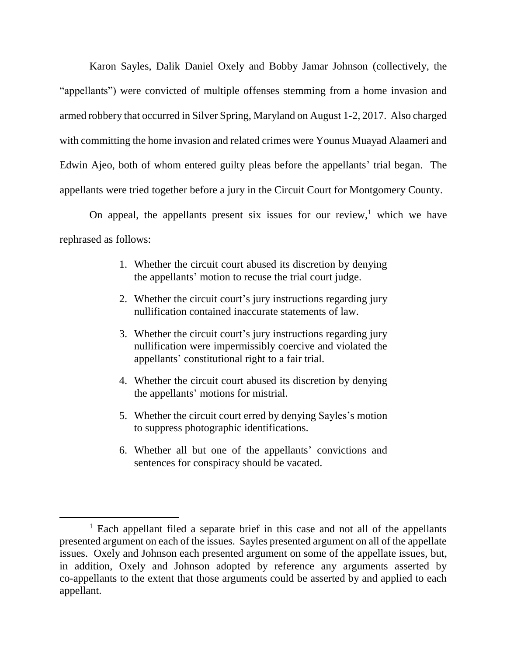Karon Sayles, Dalik Daniel Oxely and Bobby Jamar Johnson (collectively, the "appellants") were convicted of multiple offenses stemming from a home invasion and armed robbery that occurred in Silver Spring, Maryland on August 1-2, 2017. Also charged with committing the home invasion and related crimes were Younus Muayad Alaameri and Edwin Ajeo, both of whom entered guilty pleas before the appellants' trial began. The appellants were tried together before a jury in the Circuit Court for Montgomery County.

On appeal, the appellants present six issues for our review, $<sup>1</sup>$  which we have</sup> rephrased as follows:

- 1. Whether the circuit court abused its discretion by denying the appellants' motion to recuse the trial court judge.
- 2. Whether the circuit court's jury instructions regarding jury nullification contained inaccurate statements of law.
- 3. Whether the circuit court's jury instructions regarding jury nullification were impermissibly coercive and violated the appellants' constitutional right to a fair trial.
- 4. Whether the circuit court abused its discretion by denying the appellants' motions for mistrial.
- 5. Whether the circuit court erred by denying Sayles's motion to suppress photographic identifications.
- 6. Whether all but one of the appellants' convictions and sentences for conspiracy should be vacated.

 $<sup>1</sup>$  Each appellant filed a separate brief in this case and not all of the appellants</sup> presented argument on each of the issues. Sayles presented argument on all of the appellate issues. Oxely and Johnson each presented argument on some of the appellate issues, but, in addition, Oxely and Johnson adopted by reference any arguments asserted by co-appellants to the extent that those arguments could be asserted by and applied to each appellant.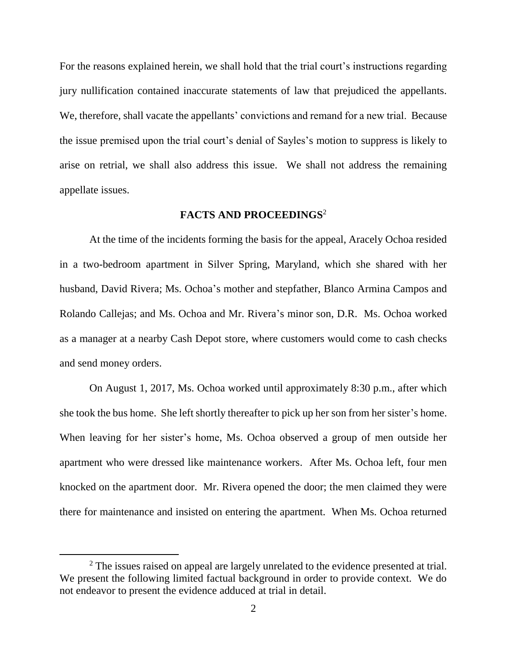For the reasons explained herein, we shall hold that the trial court's instructions regarding jury nullification contained inaccurate statements of law that prejudiced the appellants. We, therefore, shall vacate the appellants' convictions and remand for a new trial. Because the issue premised upon the trial court's denial of Sayles's motion to suppress is likely to arise on retrial, we shall also address this issue. We shall not address the remaining appellate issues.

### **FACTS AND PROCEEDINGS**<sup>2</sup>

At the time of the incidents forming the basis for the appeal, Aracely Ochoa resided in a two-bedroom apartment in Silver Spring, Maryland, which she shared with her husband, David Rivera; Ms. Ochoa's mother and stepfather, Blanco Armina Campos and Rolando Callejas; and Ms. Ochoa and Mr. Rivera's minor son, D.R. Ms. Ochoa worked as a manager at a nearby Cash Depot store, where customers would come to cash checks and send money orders.

On August 1, 2017, Ms. Ochoa worked until approximately 8:30 p.m., after which she took the bus home. She left shortly thereafter to pick up her son from her sister's home. When leaving for her sister's home, Ms. Ochoa observed a group of men outside her apartment who were dressed like maintenance workers. After Ms. Ochoa left, four men knocked on the apartment door. Mr. Rivera opened the door; the men claimed they were there for maintenance and insisted on entering the apartment. When Ms. Ochoa returned

<sup>&</sup>lt;sup>2</sup> The issues raised on appeal are largely unrelated to the evidence presented at trial. We present the following limited factual background in order to provide context. We do not endeavor to present the evidence adduced at trial in detail.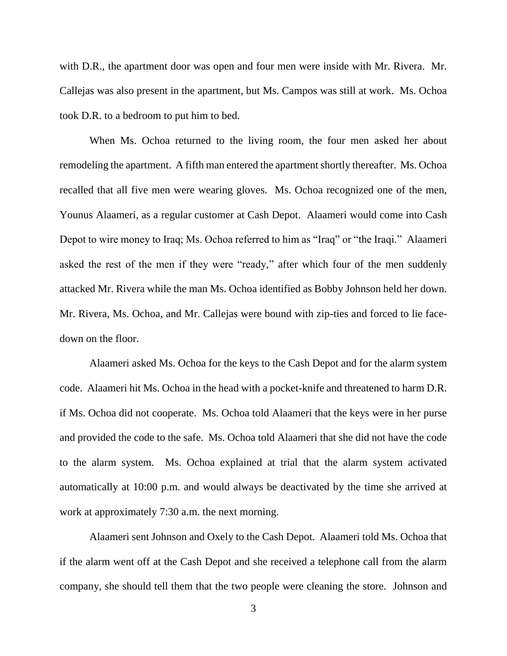with D.R., the apartment door was open and four men were inside with Mr. Rivera. Mr. Callejas was also present in the apartment, but Ms. Campos was still at work. Ms. Ochoa took D.R. to a bedroom to put him to bed.

When Ms. Ochoa returned to the living room, the four men asked her about remodeling the apartment. A fifth man entered the apartment shortly thereafter. Ms. Ochoa recalled that all five men were wearing gloves. Ms. Ochoa recognized one of the men, Younus Alaameri, as a regular customer at Cash Depot. Alaameri would come into Cash Depot to wire money to Iraq; Ms. Ochoa referred to him as "Iraq" or "the Iraqi." Alaameri asked the rest of the men if they were "ready," after which four of the men suddenly attacked Mr. Rivera while the man Ms. Ochoa identified as Bobby Johnson held her down. Mr. Rivera, Ms. Ochoa, and Mr. Callejas were bound with zip-ties and forced to lie facedown on the floor.

Alaameri asked Ms. Ochoa for the keys to the Cash Depot and for the alarm system code. Alaameri hit Ms. Ochoa in the head with a pocket-knife and threatened to harm D.R. if Ms. Ochoa did not cooperate. Ms. Ochoa told Alaameri that the keys were in her purse and provided the code to the safe. Ms. Ochoa told Alaameri that she did not have the code to the alarm system. Ms. Ochoa explained at trial that the alarm system activated automatically at 10:00 p.m. and would always be deactivated by the time she arrived at work at approximately 7:30 a.m. the next morning.

Alaameri sent Johnson and Oxely to the Cash Depot. Alaameri told Ms. Ochoa that if the alarm went off at the Cash Depot and she received a telephone call from the alarm company, she should tell them that the two people were cleaning the store. Johnson and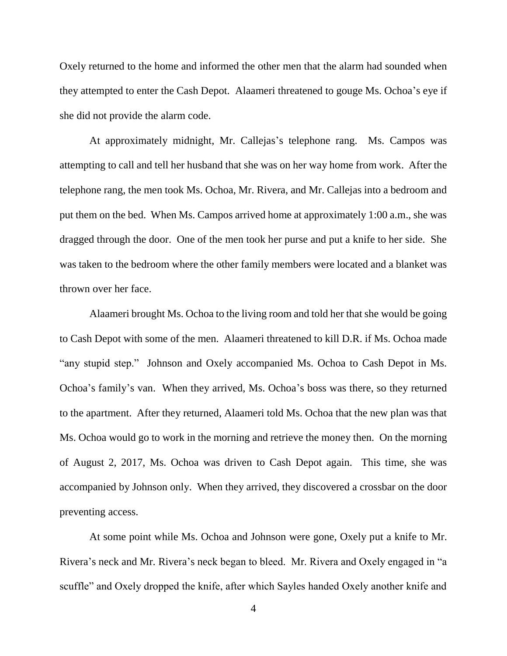Oxely returned to the home and informed the other men that the alarm had sounded when they attempted to enter the Cash Depot. Alaameri threatened to gouge Ms. Ochoa's eye if she did not provide the alarm code.

At approximately midnight, Mr. Callejas's telephone rang. Ms. Campos was attempting to call and tell her husband that she was on her way home from work. After the telephone rang, the men took Ms. Ochoa, Mr. Rivera, and Mr. Callejas into a bedroom and put them on the bed. When Ms. Campos arrived home at approximately 1:00 a.m., she was dragged through the door. One of the men took her purse and put a knife to her side. She was taken to the bedroom where the other family members were located and a blanket was thrown over her face.

Alaameri brought Ms. Ochoa to the living room and told her that she would be going to Cash Depot with some of the men. Alaameri threatened to kill D.R. if Ms. Ochoa made "any stupid step." Johnson and Oxely accompanied Ms. Ochoa to Cash Depot in Ms. Ochoa's family's van. When they arrived, Ms. Ochoa's boss was there, so they returned to the apartment. After they returned, Alaameri told Ms. Ochoa that the new plan was that Ms. Ochoa would go to work in the morning and retrieve the money then. On the morning of August 2, 2017, Ms. Ochoa was driven to Cash Depot again. This time, she was accompanied by Johnson only. When they arrived, they discovered a crossbar on the door preventing access.

At some point while Ms. Ochoa and Johnson were gone, Oxely put a knife to Mr. Rivera's neck and Mr. Rivera's neck began to bleed. Mr. Rivera and Oxely engaged in "a scuffle" and Oxely dropped the knife, after which Sayles handed Oxely another knife and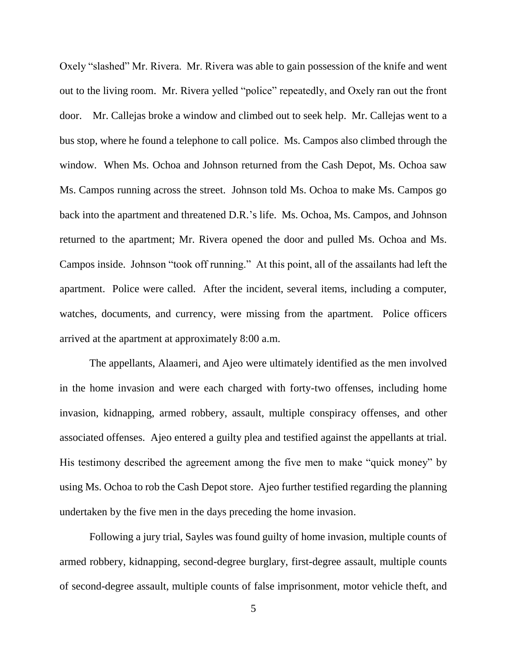Oxely "slashed" Mr. Rivera. Mr. Rivera was able to gain possession of the knife and went out to the living room. Mr. Rivera yelled "police" repeatedly, and Oxely ran out the front door. Mr. Callejas broke a window and climbed out to seek help. Mr. Callejas went to a bus stop, where he found a telephone to call police. Ms. Campos also climbed through the window. When Ms. Ochoa and Johnson returned from the Cash Depot, Ms. Ochoa saw Ms. Campos running across the street. Johnson told Ms. Ochoa to make Ms. Campos go back into the apartment and threatened D.R.'s life. Ms. Ochoa, Ms. Campos, and Johnson returned to the apartment; Mr. Rivera opened the door and pulled Ms. Ochoa and Ms. Campos inside. Johnson "took off running." At this point, all of the assailants had left the apartment. Police were called. After the incident, several items, including a computer, watches, documents, and currency, were missing from the apartment. Police officers arrived at the apartment at approximately 8:00 a.m.

The appellants, Alaameri, and Ajeo were ultimately identified as the men involved in the home invasion and were each charged with forty-two offenses, including home invasion, kidnapping, armed robbery, assault, multiple conspiracy offenses, and other associated offenses. Ajeo entered a guilty plea and testified against the appellants at trial. His testimony described the agreement among the five men to make "quick money" by using Ms. Ochoa to rob the Cash Depot store. Ajeo further testified regarding the planning undertaken by the five men in the days preceding the home invasion.

Following a jury trial, Sayles was found guilty of home invasion, multiple counts of armed robbery, kidnapping, second-degree burglary, first-degree assault, multiple counts of second-degree assault, multiple counts of false imprisonment, motor vehicle theft, and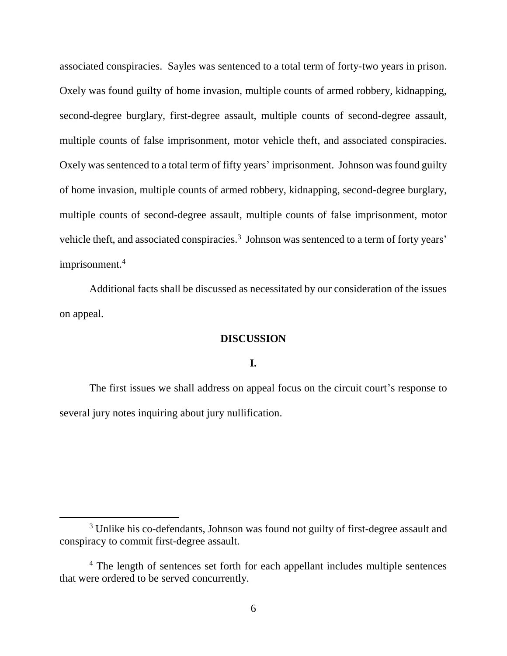associated conspiracies. Sayles was sentenced to a total term of forty-two years in prison. Oxely was found guilty of home invasion, multiple counts of armed robbery, kidnapping, second-degree burglary, first-degree assault, multiple counts of second-degree assault, multiple counts of false imprisonment, motor vehicle theft, and associated conspiracies. Oxely was sentenced to a total term of fifty years' imprisonment. Johnson was found guilty of home invasion, multiple counts of armed robbery, kidnapping, second-degree burglary, multiple counts of second-degree assault, multiple counts of false imprisonment, motor vehicle theft, and associated conspiracies.<sup>3</sup> Johnson was sentenced to a term of forty years' imprisonment.<sup>4</sup>

Additional facts shall be discussed as necessitated by our consideration of the issues on appeal.

## **DISCUSSION**

## **I.**

The first issues we shall address on appeal focus on the circuit court's response to several jury notes inquiring about jury nullification.

<sup>&</sup>lt;sup>3</sup> Unlike his co-defendants, Johnson was found not guilty of first-degree assault and conspiracy to commit first-degree assault.

<sup>&</sup>lt;sup>4</sup> The length of sentences set forth for each appellant includes multiple sentences that were ordered to be served concurrently.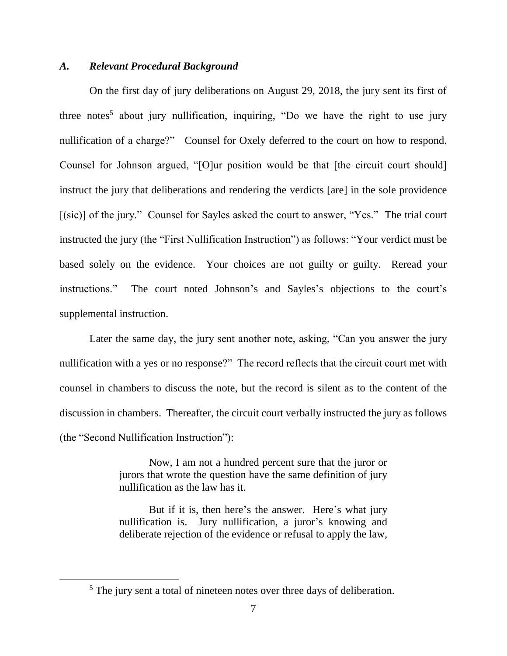#### *A. Relevant Procedural Background*

On the first day of jury deliberations on August 29, 2018, the jury sent its first of three notes<sup>5</sup> about jury nullification, inquiring, "Do we have the right to use jury nullification of a charge?" Counsel for Oxely deferred to the court on how to respond. Counsel for Johnson argued, "[O]ur position would be that [the circuit court should] instruct the jury that deliberations and rendering the verdicts [are] in the sole providence [(sic)] of the jury." Counsel for Sayles asked the court to answer, "Yes." The trial court instructed the jury (the "First Nullification Instruction") as follows: "Your verdict must be based solely on the evidence. Your choices are not guilty or guilty. Reread your instructions." The court noted Johnson's and Sayles's objections to the court's supplemental instruction.

Later the same day, the jury sent another note, asking, "Can you answer the jury nullification with a yes or no response?" The record reflects that the circuit court met with counsel in chambers to discuss the note, but the record is silent as to the content of the discussion in chambers. Thereafter, the circuit court verbally instructed the jury as follows (the "Second Nullification Instruction"):

> Now, I am not a hundred percent sure that the juror or jurors that wrote the question have the same definition of jury nullification as the law has it.

> But if it is, then here's the answer. Here's what jury nullification is. Jury nullification, a juror's knowing and deliberate rejection of the evidence or refusal to apply the law,

<sup>&</sup>lt;sup>5</sup> The jury sent a total of nineteen notes over three days of deliberation.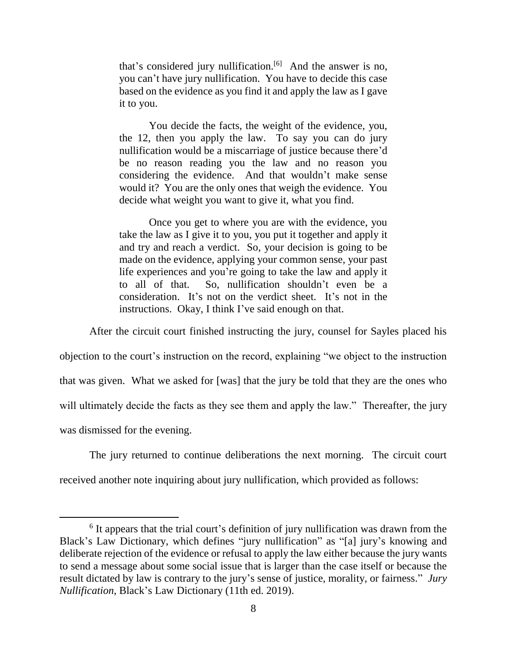that's considered jury nullification.<sup>[6]</sup> And the answer is no, you can't have jury nullification. You have to decide this case based on the evidence as you find it and apply the law as I gave it to you.

You decide the facts, the weight of the evidence, you, the 12, then you apply the law. To say you can do jury nullification would be a miscarriage of justice because there'd be no reason reading you the law and no reason you considering the evidence. And that wouldn't make sense would it? You are the only ones that weigh the evidence. You decide what weight you want to give it, what you find.

Once you get to where you are with the evidence, you take the law as I give it to you, you put it together and apply it and try and reach a verdict. So, your decision is going to be made on the evidence, applying your common sense, your past life experiences and you're going to take the law and apply it to all of that. So, nullification shouldn't even be a consideration. It's not on the verdict sheet. It's not in the instructions. Okay, I think I've said enough on that.

After the circuit court finished instructing the jury, counsel for Sayles placed his objection to the court's instruction on the record, explaining "we object to the instruction that was given. What we asked for [was] that the jury be told that they are the ones who will ultimately decide the facts as they see them and apply the law." Thereafter, the jury was dismissed for the evening.

The jury returned to continue deliberations the next morning. The circuit court received another note inquiring about jury nullification, which provided as follows:

<sup>&</sup>lt;sup>6</sup> It appears that the trial court's definition of jury nullification was drawn from the Black's Law Dictionary, which defines "jury nullification" as "[a] jury's knowing and deliberate rejection of the evidence or refusal to apply the law either because the jury wants to send a message about some social issue that is larger than the case itself or because the result dictated by law is contrary to the jury's sense of justice, morality, or fairness." *Jury Nullification*, Black's Law Dictionary (11th ed. 2019).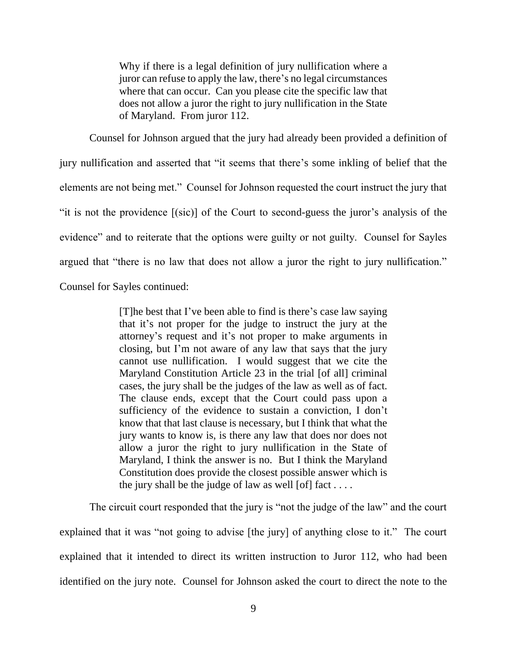Why if there is a legal definition of jury nullification where a juror can refuse to apply the law, there's no legal circumstances where that can occur. Can you please cite the specific law that does not allow a juror the right to jury nullification in the State of Maryland. From juror 112.

Counsel for Johnson argued that the jury had already been provided a definition of jury nullification and asserted that "it seems that there's some inkling of belief that the elements are not being met." Counsel for Johnson requested the court instruct the jury that "it is not the providence [(sic)] of the Court to second-guess the juror's analysis of the evidence" and to reiterate that the options were guilty or not guilty. Counsel for Sayles argued that "there is no law that does not allow a juror the right to jury nullification." Counsel for Sayles continued:

> [T]he best that I've been able to find is there's case law saying that it's not proper for the judge to instruct the jury at the attorney's request and it's not proper to make arguments in closing, but I'm not aware of any law that says that the jury cannot use nullification. I would suggest that we cite the Maryland Constitution Article 23 in the trial [of all] criminal cases, the jury shall be the judges of the law as well as of fact. The clause ends, except that the Court could pass upon a sufficiency of the evidence to sustain a conviction, I don't know that that last clause is necessary, but I think that what the jury wants to know is, is there any law that does nor does not allow a juror the right to jury nullification in the State of Maryland, I think the answer is no. But I think the Maryland Constitution does provide the closest possible answer which is the jury shall be the judge of law as well [of] fact  $\dots$ .

The circuit court responded that the jury is "not the judge of the law" and the court explained that it was "not going to advise [the jury] of anything close to it." The court explained that it intended to direct its written instruction to Juror 112, who had been identified on the jury note. Counsel for Johnson asked the court to direct the note to the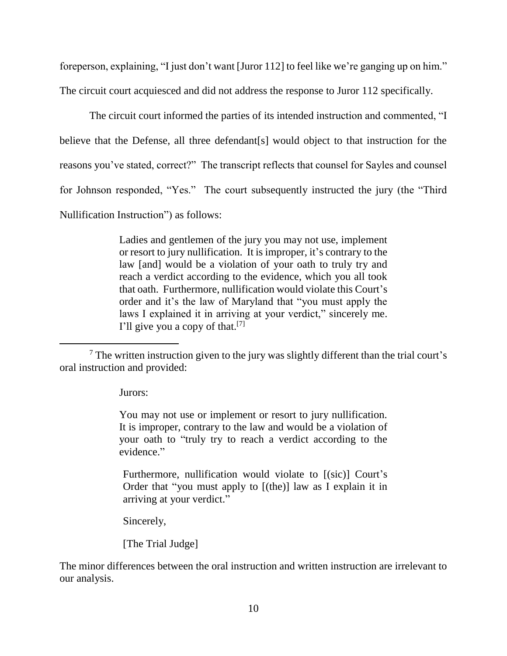foreperson, explaining, "I just don't want [Juror 112] to feel like we're ganging up on him."

The circuit court acquiesced and did not address the response to Juror 112 specifically.

The circuit court informed the parties of its intended instruction and commented, "I believe that the Defense, all three defendant[s] would object to that instruction for the reasons you've stated, correct?" The transcript reflects that counsel for Sayles and counsel for Johnson responded, "Yes." The court subsequently instructed the jury (the "Third Nullification Instruction") as follows:

> Ladies and gentlemen of the jury you may not use, implement or resort to jury nullification. It is improper, it's contrary to the law [and] would be a violation of your oath to truly try and reach a verdict according to the evidence, which you all took that oath. Furthermore, nullification would violate this Court's order and it's the law of Maryland that "you must apply the laws I explained it in arriving at your verdict," sincerely me. I'll give you a copy of that.[7]

Jurors:

 $\overline{a}$ 

You may not use or implement or resort to jury nullification. It is improper, contrary to the law and would be a violation of your oath to "truly try to reach a verdict according to the evidence."

Furthermore, nullification would violate to  $[(\text{sic})]$  Court's Order that "you must apply to [(the)] law as I explain it in arriving at your verdict."

Sincerely,

[The Trial Judge]

The minor differences between the oral instruction and written instruction are irrelevant to our analysis.

<sup>7</sup> The written instruction given to the jury was slightly different than the trial court's oral instruction and provided: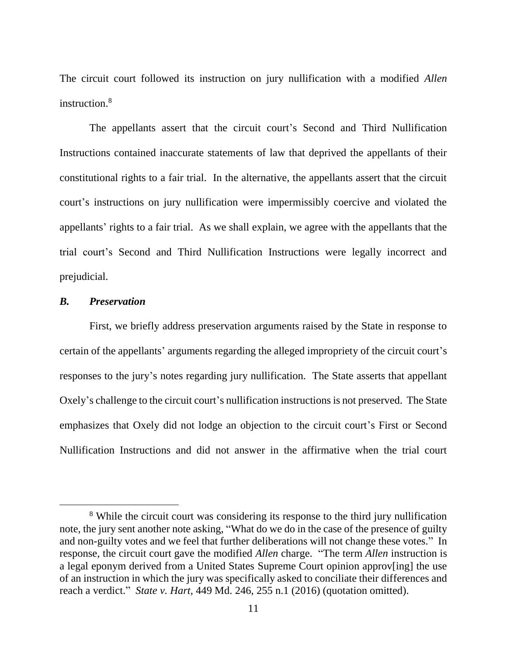The circuit court followed its instruction on jury nullification with a modified *Allen*  instruction.<sup>8</sup>

The appellants assert that the circuit court's Second and Third Nullification Instructions contained inaccurate statements of law that deprived the appellants of their constitutional rights to a fair trial. In the alternative, the appellants assert that the circuit court's instructions on jury nullification were impermissibly coercive and violated the appellants' rights to a fair trial. As we shall explain, we agree with the appellants that the trial court's Second and Third Nullification Instructions were legally incorrect and prejudicial.

### *B. Preservation*

 $\overline{a}$ 

First, we briefly address preservation arguments raised by the State in response to certain of the appellants' arguments regarding the alleged impropriety of the circuit court's responses to the jury's notes regarding jury nullification. The State asserts that appellant Oxely's challenge to the circuit court's nullification instructions is not preserved. The State emphasizes that Oxely did not lodge an objection to the circuit court's First or Second Nullification Instructions and did not answer in the affirmative when the trial court

<sup>&</sup>lt;sup>8</sup> While the circuit court was considering its response to the third jury nullification note, the jury sent another note asking, "What do we do in the case of the presence of guilty and non-guilty votes and we feel that further deliberations will not change these votes." In response, the circuit court gave the modified *Allen* charge. "The term *Allen* instruction is a legal eponym derived from a United States Supreme Court opinion approv[ing] the use of an instruction in which the jury was specifically asked to conciliate their differences and reach a verdict." *State v. Hart*, 449 Md. 246, 255 n.1 (2016) (quotation omitted).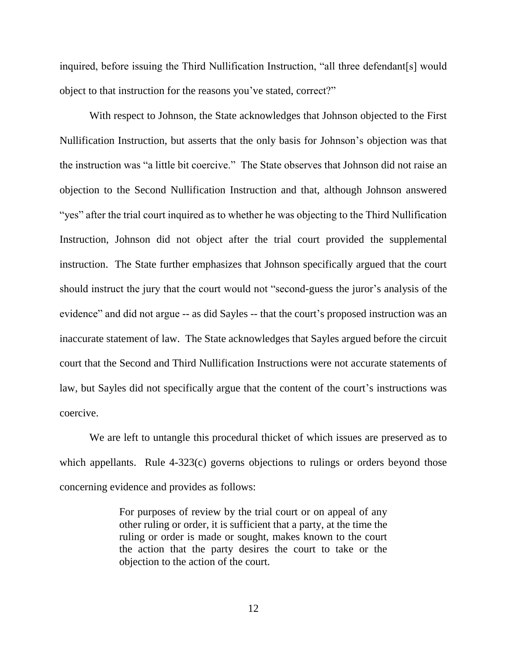inquired, before issuing the Third Nullification Instruction, "all three defendant[s] would object to that instruction for the reasons you've stated, correct?"

With respect to Johnson, the State acknowledges that Johnson objected to the First Nullification Instruction, but asserts that the only basis for Johnson's objection was that the instruction was "a little bit coercive." The State observes that Johnson did not raise an objection to the Second Nullification Instruction and that, although Johnson answered "yes" after the trial court inquired as to whether he was objecting to the Third Nullification Instruction, Johnson did not object after the trial court provided the supplemental instruction. The State further emphasizes that Johnson specifically argued that the court should instruct the jury that the court would not "second-guess the juror's analysis of the evidence" and did not argue -- as did Sayles -- that the court's proposed instruction was an inaccurate statement of law. The State acknowledges that Sayles argued before the circuit court that the Second and Third Nullification Instructions were not accurate statements of law, but Sayles did not specifically argue that the content of the court's instructions was coercive.

We are left to untangle this procedural thicket of which issues are preserved as to which appellants. Rule 4-323(c) governs objections to rulings or orders beyond those concerning evidence and provides as follows:

> For purposes of review by the trial court or on appeal of any other ruling or order, it is sufficient that a party, at the time the ruling or order is made or sought, makes known to the court the action that the party desires the court to take or the objection to the action of the court.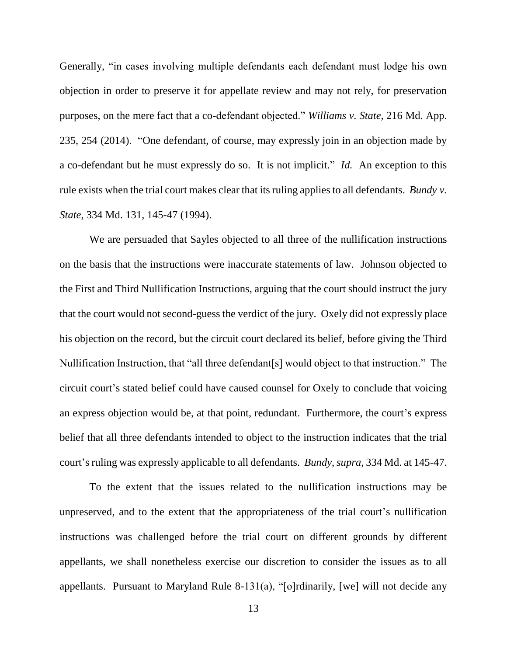Generally, "in cases involving multiple defendants each defendant must lodge his own objection in order to preserve it for appellate review and may not rely, for preservation purposes, on the mere fact that a co-defendant objected." *Williams v. State*, 216 Md. App. 235, 254 (2014). "One defendant, of course, may expressly join in an objection made by a co-defendant but he must expressly do so. It is not implicit." *Id.* An exception to this rule exists when the trial court makes clear that its ruling applies to all defendants. *Bundy v. State*, 334 Md. 131, 145-47 (1994).

We are persuaded that Sayles objected to all three of the nullification instructions on the basis that the instructions were inaccurate statements of law. Johnson objected to the First and Third Nullification Instructions, arguing that the court should instruct the jury that the court would not second-guess the verdict of the jury. Oxely did not expressly place his objection on the record, but the circuit court declared its belief, before giving the Third Nullification Instruction, that "all three defendant[s] would object to that instruction." The circuit court's stated belief could have caused counsel for Oxely to conclude that voicing an express objection would be, at that point, redundant. Furthermore, the court's express belief that all three defendants intended to object to the instruction indicates that the trial court's ruling was expressly applicable to all defendants. *Bundy*, *supra*, 334 Md. at 145-47.

To the extent that the issues related to the nullification instructions may be unpreserved, and to the extent that the appropriateness of the trial court's nullification instructions was challenged before the trial court on different grounds by different appellants, we shall nonetheless exercise our discretion to consider the issues as to all appellants. Pursuant to Maryland Rule 8-131(a), "[o]rdinarily, [we] will not decide any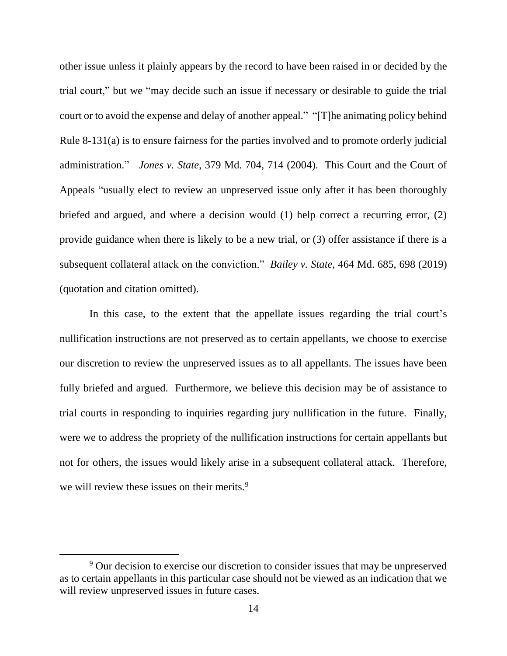other issue unless it plainly appears by the record to have been raised in or decided by the trial court," but we "may decide such an issue if necessary or desirable to guide the trial court or to avoid the expense and delay of another appeal." "[T]he animating policy behind Rule 8-131(a) is to ensure fairness for the parties involved and to promote orderly judicial administration." *Jones v. State*, 379 Md. 704, 714 (2004). This Court and the Court of Appeals "usually elect to review an unpreserved issue only after it has been thoroughly briefed and argued, and where a decision would (1) help correct a recurring error, (2) provide guidance when there is likely to be a new trial, or (3) offer assistance if there is a subsequent collateral attack on the conviction." *Bailey v. State*, 464 Md. 685, 698 (2019) (quotation and citation omitted).

In this case, to the extent that the appellate issues regarding the trial court's nullification instructions are not preserved as to certain appellants, we choose to exercise our discretion to review the unpreserved issues as to all appellants. The issues have been fully briefed and argued. Furthermore, we believe this decision may be of assistance to trial courts in responding to inquiries regarding jury nullification in the future. Finally, were we to address the propriety of the nullification instructions for certain appellants but not for others, the issues would likely arise in a subsequent collateral attack. Therefore, we will review these issues on their merits.<sup>9</sup>

<sup>&</sup>lt;sup>9</sup> Our decision to exercise our discretion to consider issues that may be unpreserved as to certain appellants in this particular case should not be viewed as an indication that we will review unpreserved issues in future cases.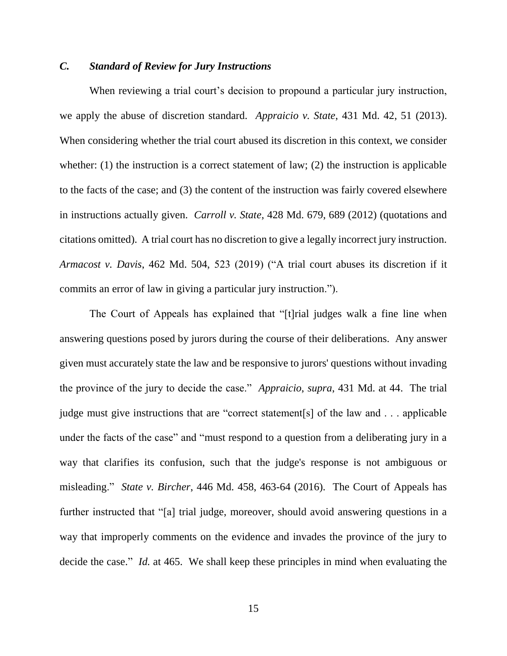### *C. Standard of Review for Jury Instructions*

When reviewing a trial court's decision to propound a particular jury instruction, we apply the abuse of discretion standard. *Appraicio v. State*, 431 Md. 42, 51 (2013). When considering whether the trial court abused its discretion in this context, we consider whether: (1) the instruction is a correct statement of law; (2) the instruction is applicable to the facts of the case; and (3) the content of the instruction was fairly covered elsewhere in instructions actually given. *Carroll v. State*, 428 Md. 679, 689 (2012) (quotations and citations omitted). A trial court has no discretion to give a legally incorrect jury instruction. *Armacost v. Davis*, 462 Md. 504, 523 (2019) ("A trial court abuses its discretion if it commits an error of law in giving a particular jury instruction.").

The Court of Appeals has explained that "[t]rial judges walk a fine line when answering questions posed by jurors during the course of their deliberations. Any answer given must accurately state the law and be responsive to jurors' questions without invading the province of the jury to decide the case." *Appraicio*, *supra*, 431 Md. at 44. The trial judge must give instructions that are "correct statement[s] of the law and . . . applicable under the facts of the case" and "must respond to a question from a deliberating jury in a way that clarifies its confusion, such that the judge's response is not ambiguous or misleading." *State v. Bircher*, 446 Md. 458, 463-64 (2016). The Court of Appeals has further instructed that "[a] trial judge, moreover, should avoid answering questions in a way that improperly comments on the evidence and invades the province of the jury to decide the case." *Id.* at 465. We shall keep these principles in mind when evaluating the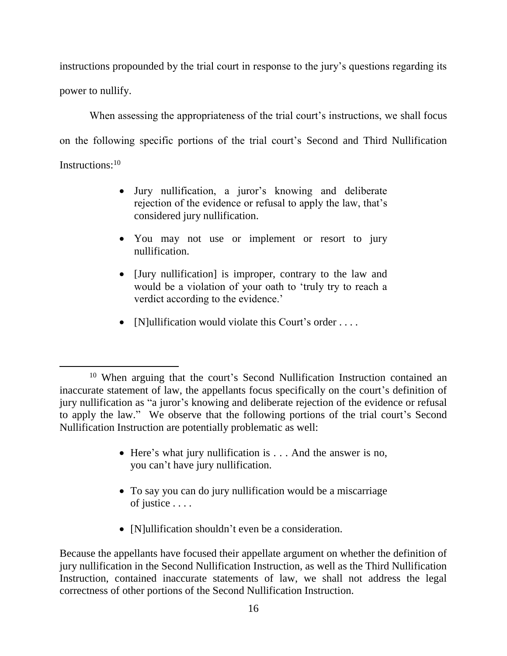instructions propounded by the trial court in response to the jury's questions regarding its power to nullify.

When assessing the appropriateness of the trial court's instructions, we shall focus on the following specific portions of the trial court's Second and Third Nullification Instructions:<sup>10</sup>

- Jury nullification, a juror's knowing and deliberate rejection of the evidence or refusal to apply the law, that's considered jury nullification.
- You may not use or implement or resort to jury nullification.
- [Jury nullification] is improper, contrary to the law and would be a violation of your oath to 'truly try to reach a verdict according to the evidence.'
- [N]ullification would violate this Court's order ....

 $\overline{a}$ 

- Here's what jury nullification is . . . And the answer is no, you can't have jury nullification.
- To say you can do jury nullification would be a miscarriage of justice . . . .
- [N]ullification shouldn't even be a consideration.

Because the appellants have focused their appellate argument on whether the definition of jury nullification in the Second Nullification Instruction, as well as the Third Nullification Instruction, contained inaccurate statements of law, we shall not address the legal correctness of other portions of the Second Nullification Instruction.

<sup>10</sup> When arguing that the court's Second Nullification Instruction contained an inaccurate statement of law, the appellants focus specifically on the court's definition of jury nullification as "a juror's knowing and deliberate rejection of the evidence or refusal to apply the law." We observe that the following portions of the trial court's Second Nullification Instruction are potentially problematic as well: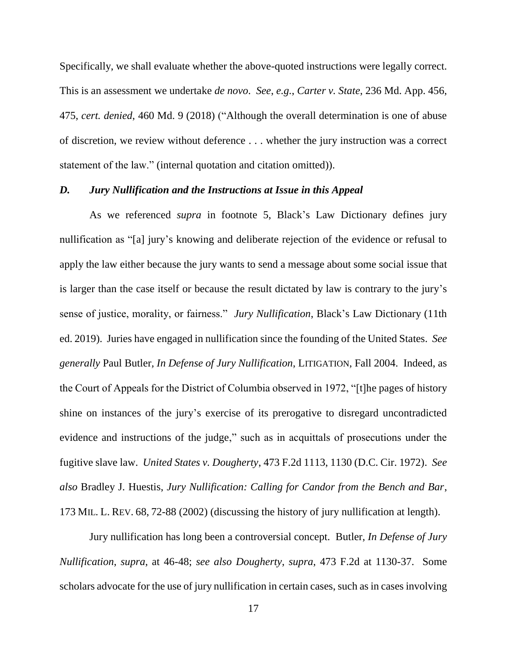Specifically, we shall evaluate whether the above-quoted instructions were legally correct. This is an assessment we undertake *de novo*. *See*, *e.g.*, *Carter v. State*, 236 Md. App. 456, 475, *cert. denied*, 460 Md. 9 (2018) ("Although the overall determination is one of abuse of discretion, we review without deference . . . whether the jury instruction was a correct statement of the law." (internal quotation and citation omitted)).

#### *D. Jury Nullification and the Instructions at Issue in this Appeal*

As we referenced *supra* in footnote 5, Black's Law Dictionary defines jury nullification as "[a] jury's knowing and deliberate rejection of the evidence or refusal to apply the law either because the jury wants to send a message about some social issue that is larger than the case itself or because the result dictated by law is contrary to the jury's sense of justice, morality, or fairness." *Jury Nullification*, Black's Law Dictionary (11th ed. 2019). Juries have engaged in nullification since the founding of the United States. *See generally* Paul Butler*, In Defense of Jury Nullification*, LITIGATION, Fall 2004. Indeed, as the Court of Appeals for the District of Columbia observed in 1972, "[t]he pages of history shine on instances of the jury's exercise of its prerogative to disregard uncontradicted evidence and instructions of the judge," such as in acquittals of prosecutions under the fugitive slave law. *United States v. Dougherty*, 473 F.2d 1113, 1130 (D.C. Cir. 1972). *See also* Bradley J. Huestis, *Jury Nullification: Calling for Candor from the Bench and Bar*, 173 MIL. L. REV. 68, 72-88 (2002) (discussing the history of jury nullification at length).

Jury nullification has long been a controversial concept. Butler, *In Defense of Jury Nullification*, *supra*, at 46-48; *see also Dougherty*, *supra*, 473 F.2d at 1130-37. Some scholars advocate for the use of jury nullification in certain cases, such as in cases involving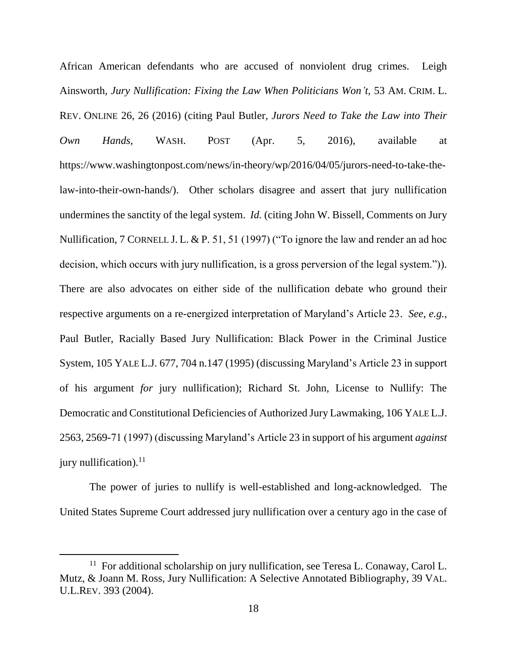African American defendants who are accused of nonviolent drug crimes. Leigh Ainsworth, *Jury Nullification: Fixing the Law When Politicians Won't*, 53 AM. CRIM. L. REV. ONLINE 26, 26 (2016) (citing Paul Butler, *Jurors Need to Take the Law into Their Own Hands*, WASH. POST (Apr. 5, 2016), available at https://www.washingtonpost.com/news/in-theory/wp/2016/04/05/jurors-need-to-take-thelaw-into-their-own-hands/). Other scholars disagree and assert that jury nullification undermines the sanctity of the legal system. *Id.* (citing John W. Bissell, Comments on Jury Nullification, 7 CORNELL J. L. & P. 51, 51 (1997) ("To ignore the law and render an ad hoc decision, which occurs with jury nullification, is a gross perversion of the legal system.")). There are also advocates on either side of the nullification debate who ground their respective arguments on a re-energized interpretation of Maryland's Article 23. *See*, *e.g.*, Paul Butler, Racially Based Jury Nullification: Black Power in the Criminal Justice System, 105 YALE L.J. 677, 704 n.147 (1995) (discussing Maryland's Article 23 in support of his argument *for* jury nullification); Richard St. John, License to Nullify: The Democratic and Constitutional Deficiencies of Authorized Jury Lawmaking, 106 YALE L.J. 2563, 2569-71 (1997) (discussing Maryland's Article 23 in support of his argument *against* jury nullification). $^{11}$ 

The power of juries to nullify is well-established and long-acknowledged. The United States Supreme Court addressed jury nullification over a century ago in the case of

<sup>&</sup>lt;sup>11</sup> For additional scholarship on jury nullification, see Teresa L. Conaway, Carol L. Mutz, & Joann M. Ross, Jury Nullification: A Selective Annotated Bibliography, 39 VAL. U.L.REV. 393 (2004).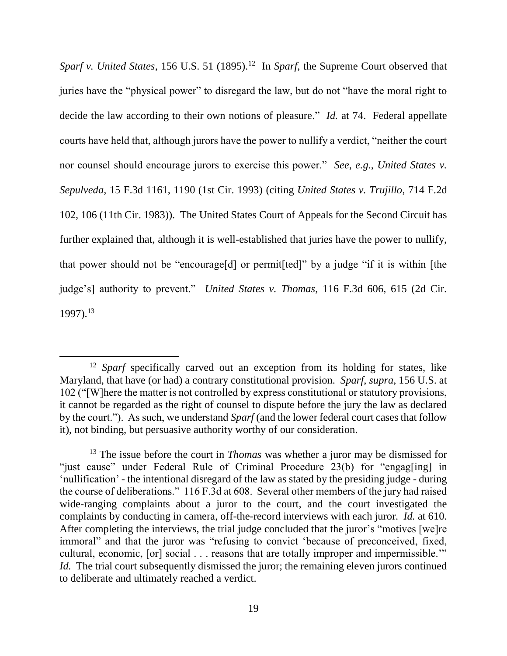Sparf v. United States, 156 U.S. 51 (1895).<sup>12</sup> In Sparf, the Supreme Court observed that juries have the "physical power" to disregard the law, but do not "have the moral right to decide the law according to their own notions of pleasure." *Id.* at 74. Federal appellate courts have held that, although jurors have the power to nullify a verdict, "neither the court nor counsel should encourage jurors to exercise this power." *See*, *e.g.*, *United States v. Sepulveda*, 15 F.3d 1161, 1190 (1st Cir. 1993) (citing *United States v. Trujillo*, 714 F.2d 102, 106 (11th Cir. 1983)). The United States Court of Appeals for the Second Circuit has further explained that, although it is well-established that juries have the power to nullify, that power should not be "encourage[d] or permit[ted]" by a judge "if it is within [the judge's] authority to prevent." *United States v. Thomas*, 116 F.3d 606, 615 (2d Cir. 1997). 13

<sup>&</sup>lt;sup>12</sup> *Sparf* specifically carved out an exception from its holding for states, like Maryland, that have (or had) a contrary constitutional provision. *Sparf*, *supra*, 156 U.S. at 102 ("[W]here the matter is not controlled by express constitutional or statutory provisions, it cannot be regarded as the right of counsel to dispute before the jury the law as declared by the court."). As such, we understand *Sparf* (and the lower federal court cases that follow it), not binding, but persuasive authority worthy of our consideration.

<sup>13</sup> The issue before the court in *Thomas* was whether a juror may be dismissed for "just cause" under Federal Rule of Criminal Procedure 23(b) for "engag[ing] in 'nullification' - the intentional disregard of the law as stated by the presiding judge - during the course of deliberations." 116 F.3d at 608. Several other members of the jury had raised wide-ranging complaints about a juror to the court, and the court investigated the complaints by conducting in camera, off-the-record interviews with each juror. *Id.* at 610. After completing the interviews, the trial judge concluded that the juror's "motives [we]re immoral" and that the juror was "refusing to convict 'because of preconceived, fixed, cultural, economic, [or] social . . . reasons that are totally improper and impermissible.'" *Id.* The trial court subsequently dismissed the juror; the remaining eleven jurors continued to deliberate and ultimately reached a verdict.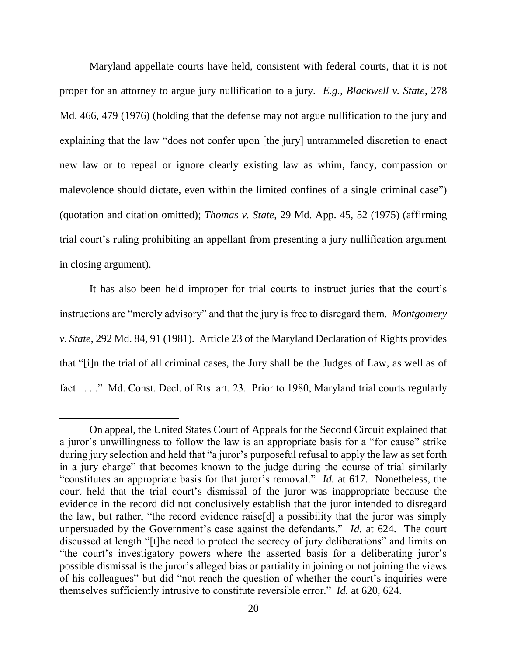Maryland appellate courts have held, consistent with federal courts, that it is not proper for an attorney to argue jury nullification to a jury. *E.g.*, *Blackwell v. State*, 278 Md. 466, 479 (1976) (holding that the defense may not argue nullification to the jury and explaining that the law "does not confer upon [the jury] untrammeled discretion to enact new law or to repeal or ignore clearly existing law as whim, fancy, compassion or malevolence should dictate, even within the limited confines of a single criminal case") (quotation and citation omitted); *Thomas v. State*, 29 Md. App. 45, 52 (1975) (affirming trial court's ruling prohibiting an appellant from presenting a jury nullification argument in closing argument).

It has also been held improper for trial courts to instruct juries that the court's instructions are "merely advisory" and that the jury is free to disregard them. *Montgomery v. State*, 292 Md. 84, 91 (1981). Article 23 of the Maryland Declaration of Rights provides that "[i]n the trial of all criminal cases, the Jury shall be the Judges of Law, as well as of fact . . . ." Md. Const. Decl. of Rts. art. 23. Prior to 1980, Maryland trial courts regularly

On appeal, the United States Court of Appeals for the Second Circuit explained that a juror's unwillingness to follow the law is an appropriate basis for a "for cause" strike during jury selection and held that "a juror's purposeful refusal to apply the law as set forth in a jury charge" that becomes known to the judge during the course of trial similarly "constitutes an appropriate basis for that juror's removal." *Id.* at 617. Nonetheless, the court held that the trial court's dismissal of the juror was inappropriate because the evidence in the record did not conclusively establish that the juror intended to disregard the law, but rather, "the record evidence raise[d] a possibility that the juror was simply unpersuaded by the Government's case against the defendants." *Id.* at 624. The court discussed at length "[t]he need to protect the secrecy of jury deliberations" and limits on "the court's investigatory powers where the asserted basis for a deliberating juror's possible dismissal is the juror's alleged bias or partiality in joining or not joining the views of his colleagues" but did "not reach the question of whether the court's inquiries were themselves sufficiently intrusive to constitute reversible error." *Id.* at 620, 624.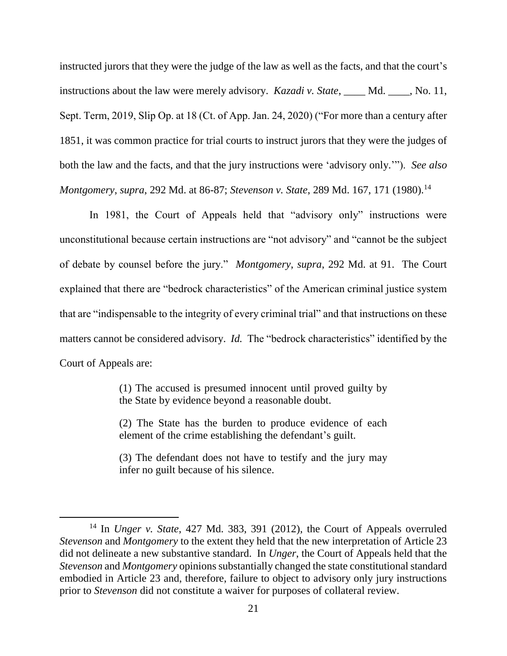instructed jurors that they were the judge of the law as well as the facts, and that the court's instructions about the law were merely advisory. *Kazadi v. State*, \_\_\_\_ Md. \_\_\_\_, No. 11, Sept. Term, 2019, Slip Op. at 18 (Ct. of App. Jan. 24, 2020) ("For more than a century after 1851, it was common practice for trial courts to instruct jurors that they were the judges of both the law and the facts, and that the jury instructions were 'advisory only.'"). *See also Montgomery, supra,* 292 Md. at 86-87; *Stevenson v. State,* 289 Md. 167, 171 (1980).<sup>14</sup>

In 1981, the Court of Appeals held that "advisory only" instructions were unconstitutional because certain instructions are "not advisory" and "cannot be the subject of debate by counsel before the jury." *Montgomery*, *supra*, 292 Md. at 91. The Court explained that there are "bedrock characteristics" of the American criminal justice system that are "indispensable to the integrity of every criminal trial" and that instructions on these matters cannot be considered advisory. *Id.* The "bedrock characteristics" identified by the Court of Appeals are:

> (1) The accused is presumed innocent until proved guilty by the State by evidence beyond a reasonable doubt.

> (2) The State has the burden to produce evidence of each element of the crime establishing the defendant's guilt.

> (3) The defendant does not have to testify and the jury may infer no guilt because of his silence.

<sup>14</sup> In *Unger v. State*, 427 Md. 383, 391 (2012), the Court of Appeals overruled *Stevenson* and *Montgomery* to the extent they held that the new interpretation of Article 23 did not delineate a new substantive standard. In *Unger*, the Court of Appeals held that the *Stevenson* and *Montgomery* opinions substantially changed the state constitutional standard embodied in Article 23 and, therefore, failure to object to advisory only jury instructions prior to *Stevenson* did not constitute a waiver for purposes of collateral review.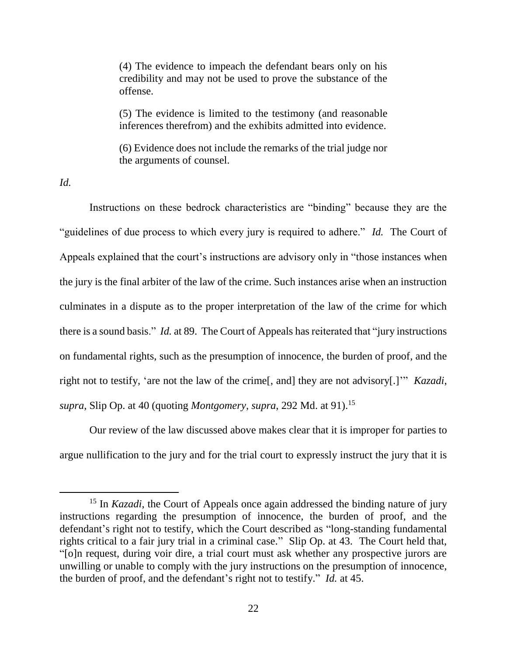(4) The evidence to impeach the defendant bears only on his credibility and may not be used to prove the substance of the offense.

(5) The evidence is limited to the testimony (and reasonable inferences therefrom) and the exhibits admitted into evidence.

(6) Evidence does not include the remarks of the trial judge nor the arguments of counsel.

*Id.* 

 $\overline{a}$ 

Instructions on these bedrock characteristics are "binding" because they are the "guidelines of due process to which every jury is required to adhere." *Id.* The Court of Appeals explained that the court's instructions are advisory only in "those instances when the jury is the final arbiter of the law of the crime. Such instances arise when an instruction culminates in a dispute as to the proper interpretation of the law of the crime for which there is a sound basis." *Id.* at 89. The Court of Appeals has reiterated that "jury instructions on fundamental rights, such as the presumption of innocence, the burden of proof, and the right not to testify, 'are not the law of the crime[, and] they are not advisory[.]'" *Kazadi*, *supra*, Slip Op. at 40 (quoting *Montgomery*, *supra*, 292 Md. at 91).<sup>15</sup>

Our review of the law discussed above makes clear that it is improper for parties to argue nullification to the jury and for the trial court to expressly instruct the jury that it is

<sup>&</sup>lt;sup>15</sup> In *Kazadi*, the Court of Appeals once again addressed the binding nature of jury instructions regarding the presumption of innocence, the burden of proof, and the defendant's right not to testify, which the Court described as "long-standing fundamental rights critical to a fair jury trial in a criminal case." Slip Op. at 43. The Court held that, "[o]n request, during voir dire, a trial court must ask whether any prospective jurors are unwilling or unable to comply with the jury instructions on the presumption of innocence, the burden of proof, and the defendant's right not to testify." *Id.* at 45.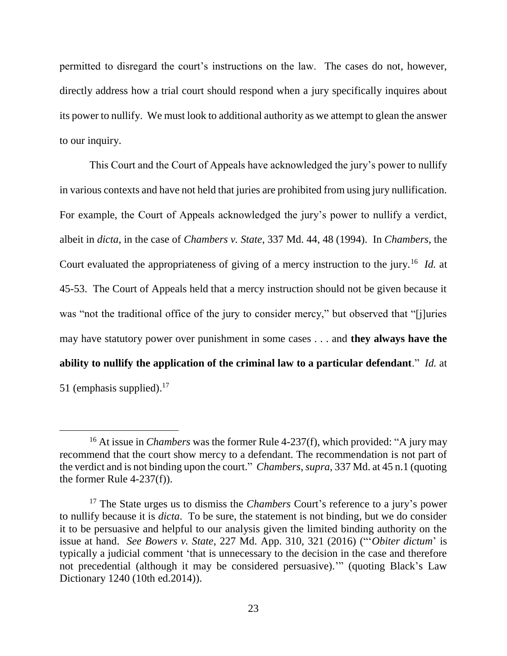permitted to disregard the court's instructions on the law. The cases do not, however, directly address how a trial court should respond when a jury specifically inquires about its power to nullify. We must look to additional authority as we attempt to glean the answer to our inquiry.

This Court and the Court of Appeals have acknowledged the jury's power to nullify in various contexts and have not held that juries are prohibited from using jury nullification. For example, the Court of Appeals acknowledged the jury's power to nullify a verdict, albeit in *dicta*, in the case of *Chambers v. State*, 337 Md. 44, 48 (1994). In *Chambers*, the Court evaluated the appropriateness of giving of a mercy instruction to the jury.<sup>16</sup> *Id.* at 45-53. The Court of Appeals held that a mercy instruction should not be given because it was "not the traditional office of the jury to consider mercy," but observed that "[j]uries may have statutory power over punishment in some cases . . . and **they always have the ability to nullify the application of the criminal law to a particular defendant**." *Id.* at 51 (emphasis supplied). $17$ 

<sup>16</sup> At issue in *Chambers* was the former Rule 4-237(f), which provided: "A jury may recommend that the court show mercy to a defendant. The recommendation is not part of the verdict and is not binding upon the court." *Chambers*, *supra*, 337 Md. at 45 n.1 (quoting the former Rule 4-237(f)).

<sup>17</sup> The State urges us to dismiss the *Chambers* Court's reference to a jury's power to nullify because it is *dicta*. To be sure, the statement is not binding, but we do consider it to be persuasive and helpful to our analysis given the limited binding authority on the issue at hand. *See Bowers v. State*, 227 Md. App. 310, 321 (2016) ("'*Obiter dictum*' is typically a judicial comment 'that is unnecessary to the decision in the case and therefore not precedential (although it may be considered persuasive).'" (quoting Black's Law Dictionary 1240 (10th ed.2014)).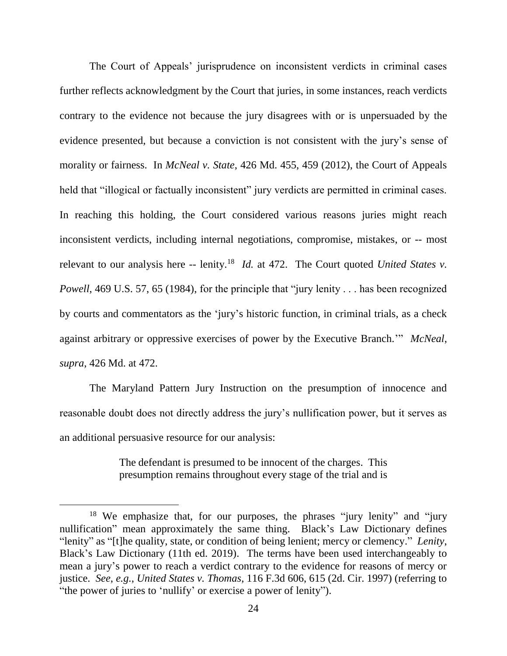The Court of Appeals' jurisprudence on inconsistent verdicts in criminal cases further reflects acknowledgment by the Court that juries, in some instances, reach verdicts contrary to the evidence not because the jury disagrees with or is unpersuaded by the evidence presented, but because a conviction is not consistent with the jury's sense of morality or fairness. In *McNeal v. State*, 426 Md. 455, 459 (2012), the Court of Appeals held that "illogical or factually inconsistent" jury verdicts are permitted in criminal cases. In reaching this holding, the Court considered various reasons juries might reach inconsistent verdicts, including internal negotiations, compromise, mistakes, or -- most relevant to our analysis here -- lenity.<sup>18</sup> *Id.* at 472. The Court quoted *United States v. Powell*, 469 U.S. 57, 65 (1984), for the principle that "jury lenity . . . has been recognized by courts and commentators as the 'jury's historic function, in criminal trials, as a check against arbitrary or oppressive exercises of power by the Executive Branch.'" *McNeal*, *supra*, 426 Md. at 472.

The Maryland Pattern Jury Instruction on the presumption of innocence and reasonable doubt does not directly address the jury's nullification power, but it serves as an additional persuasive resource for our analysis:

> The defendant is presumed to be innocent of the charges. This presumption remains throughout every stage of the trial and is

<sup>&</sup>lt;sup>18</sup> We emphasize that, for our purposes, the phrases "jury lenity" and "jury nullification" mean approximately the same thing. Black's Law Dictionary defines "lenity" as "[t]he quality, state, or condition of being lenient; mercy or clemency." *Lenity*, Black's Law Dictionary (11th ed. 2019). The terms have been used interchangeably to mean a jury's power to reach a verdict contrary to the evidence for reasons of mercy or justice. *See*, *e.g.*, *United States v. Thomas*, 116 F.3d 606, 615 (2d. Cir. 1997) (referring to "the power of juries to 'nullify' or exercise a power of lenity").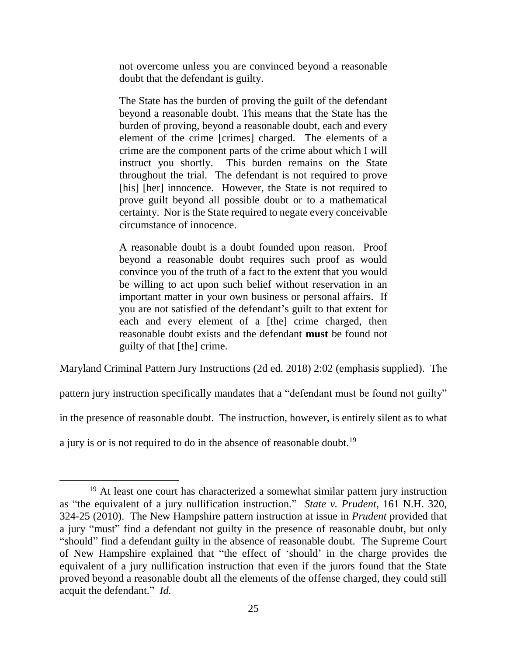not overcome unless you are convinced beyond a reasonable doubt that the defendant is guilty.

The State has the burden of proving the guilt of the defendant beyond a reasonable doubt. This means that the State has the burden of proving, beyond a reasonable doubt, each and every element of the crime [crimes] charged. The elements of a crime are the component parts of the crime about which I will instruct you shortly. This burden remains on the State throughout the trial. The defendant is not required to prove [his] [her] innocence. However, the State is not required to prove guilt beyond all possible doubt or to a mathematical certainty. Nor is the State required to negate every conceivable circumstance of innocence.

A reasonable doubt is a doubt founded upon reason. Proof beyond a reasonable doubt requires such proof as would convince you of the truth of a fact to the extent that you would be willing to act upon such belief without reservation in an important matter in your own business or personal affairs. If you are not satisfied of the defendant's guilt to that extent for each and every element of a [the] crime charged, then reasonable doubt exists and the defendant **must** be found not guilty of that [the] crime.

Maryland Criminal Pattern Jury Instructions (2d ed. 2018) 2:02 (emphasis supplied). The

pattern jury instruction specifically mandates that a "defendant must be found not guilty"

in the presence of reasonable doubt. The instruction, however, is entirely silent as to what

a jury is or is not required to do in the absence of reasonable doubt.<sup>19</sup>

<sup>&</sup>lt;sup>19</sup> At least one court has characterized a somewhat similar pattern jury instruction as "the equivalent of a jury nullification instruction." *State v. Prudent*, 161 N.H. 320, 324-25 (2010). The New Hampshire pattern instruction at issue in *Prudent* provided that a jury "must" find a defendant not guilty in the presence of reasonable doubt, but only "should" find a defendant guilty in the absence of reasonable doubt. The Supreme Court of New Hampshire explained that "the effect of 'should' in the charge provides the equivalent of a jury nullification instruction that even if the jurors found that the State proved beyond a reasonable doubt all the elements of the offense charged, they could still acquit the defendant." *Id.*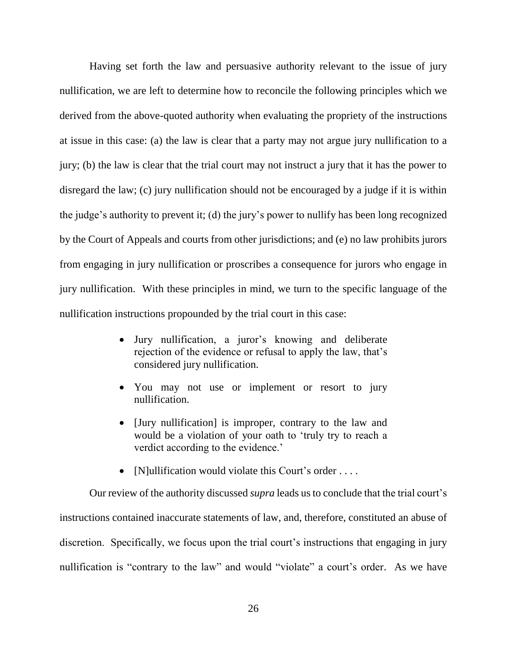Having set forth the law and persuasive authority relevant to the issue of jury nullification, we are left to determine how to reconcile the following principles which we derived from the above-quoted authority when evaluating the propriety of the instructions at issue in this case: (a) the law is clear that a party may not argue jury nullification to a jury; (b) the law is clear that the trial court may not instruct a jury that it has the power to disregard the law; (c) jury nullification should not be encouraged by a judge if it is within the judge's authority to prevent it; (d) the jury's power to nullify has been long recognized by the Court of Appeals and courts from other jurisdictions; and (e) no law prohibits jurors from engaging in jury nullification or proscribes a consequence for jurors who engage in jury nullification. With these principles in mind, we turn to the specific language of the nullification instructions propounded by the trial court in this case:

- Jury nullification, a juror's knowing and deliberate rejection of the evidence or refusal to apply the law, that's considered jury nullification.
- You may not use or implement or resort to jury nullification.
- [Jury nullification] is improper, contrary to the law and would be a violation of your oath to 'truly try to reach a verdict according to the evidence.'
- [N]ullification would violate this Court's order ....

Our review of the authority discussed *supra* leads us to conclude that the trial court's instructions contained inaccurate statements of law, and, therefore, constituted an abuse of discretion. Specifically, we focus upon the trial court's instructions that engaging in jury nullification is "contrary to the law" and would "violate" a court's order. As we have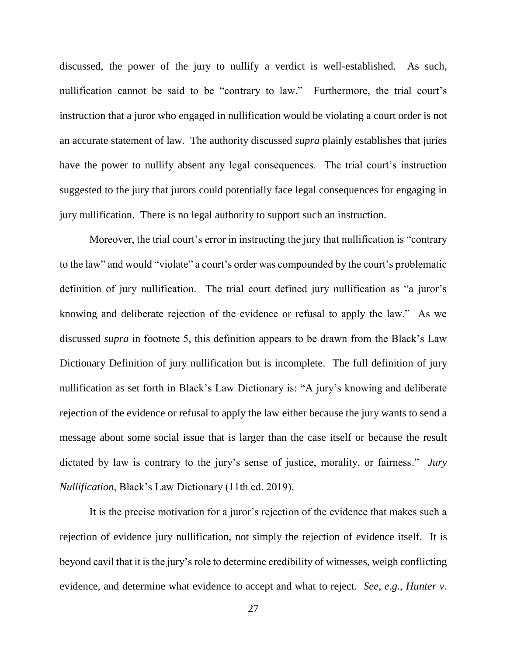discussed, the power of the jury to nullify a verdict is well-established. As such, nullification cannot be said to be "contrary to law." Furthermore, the trial court's instruction that a juror who engaged in nullification would be violating a court order is not an accurate statement of law. The authority discussed *supra* plainly establishes that juries have the power to nullify absent any legal consequences. The trial court's instruction suggested to the jury that jurors could potentially face legal consequences for engaging in jury nullification. There is no legal authority to support such an instruction.

Moreover, the trial court's error in instructing the jury that nullification is "contrary to the law" and would "violate" a court's order was compounded by the court's problematic definition of jury nullification. The trial court defined jury nullification as "a juror's knowing and deliberate rejection of the evidence or refusal to apply the law." As we discussed *supra* in footnote 5, this definition appears to be drawn from the Black's Law Dictionary Definition of jury nullification but is incomplete. The full definition of jury nullification as set forth in Black's Law Dictionary is: "A jury's knowing and deliberate rejection of the evidence or refusal to apply the law either because the jury wants to send a message about some social issue that is larger than the case itself or because the result dictated by law is contrary to the jury's sense of justice, morality, or fairness." *Jury Nullification*, Black's Law Dictionary (11th ed. 2019).

It is the precise motivation for a juror's rejection of the evidence that makes such a rejection of evidence jury nullification, not simply the rejection of evidence itself. It is beyond cavil that it is the jury's role to determine credibility of witnesses, weigh conflicting evidence, and determine what evidence to accept and what to reject. *See*, *e.g.*, *Hunter v.*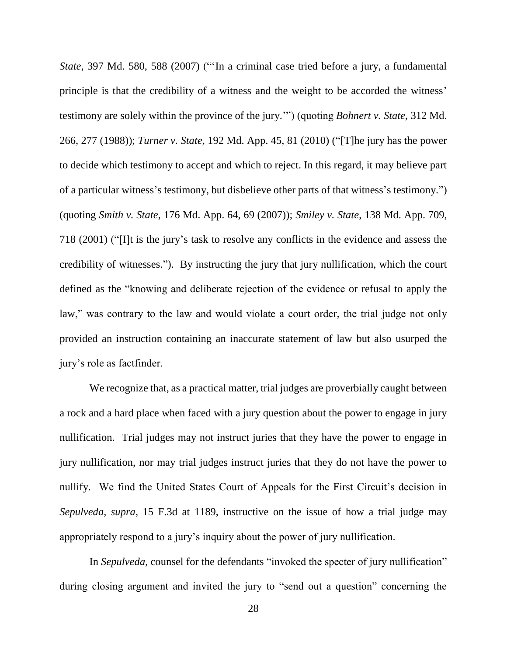*State*, 397 Md. 580, 588 (2007) ("'In a criminal case tried before a jury, a fundamental principle is that the credibility of a witness and the weight to be accorded the witness' testimony are solely within the province of the jury.'") (quoting *Bohnert v. State*, 312 Md. 266, 277 (1988)); *Turner v. State*, 192 Md. App. 45, 81 (2010) ("[T]he jury has the power to decide which testimony to accept and which to reject. In this regard, it may believe part of a particular witness's testimony, but disbelieve other parts of that witness's testimony.") (quoting *Smith v. State*, 176 Md. App. 64, 69 (2007)); *Smiley v. State*, 138 Md. App. 709, 718 (2001) ("[I]t is the jury's task to resolve any conflicts in the evidence and assess the credibility of witnesses."). By instructing the jury that jury nullification, which the court defined as the "knowing and deliberate rejection of the evidence or refusal to apply the law," was contrary to the law and would violate a court order, the trial judge not only provided an instruction containing an inaccurate statement of law but also usurped the jury's role as factfinder.

We recognize that, as a practical matter, trial judges are proverbially caught between a rock and a hard place when faced with a jury question about the power to engage in jury nullification. Trial judges may not instruct juries that they have the power to engage in jury nullification, nor may trial judges instruct juries that they do not have the power to nullify. We find the United States Court of Appeals for the First Circuit's decision in *Sepulveda*, *supra*, 15 F.3d at 1189, instructive on the issue of how a trial judge may appropriately respond to a jury's inquiry about the power of jury nullification.

In *Sepulveda*, counsel for the defendants "invoked the specter of jury nullification" during closing argument and invited the jury to "send out a question" concerning the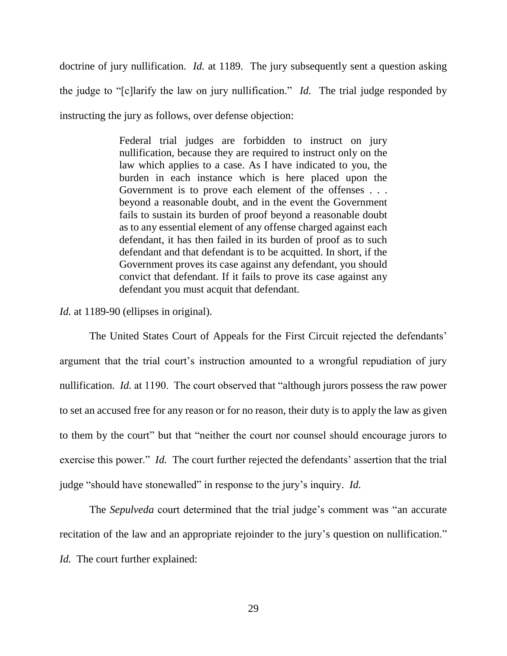doctrine of jury nullification. *Id.* at 1189. The jury subsequently sent a question asking the judge to "[c]larify the law on jury nullification." *Id.* The trial judge responded by instructing the jury as follows, over defense objection:

> Federal trial judges are forbidden to instruct on jury nullification, because they are required to instruct only on the law which applies to a case. As I have indicated to you, the burden in each instance which is here placed upon the Government is to prove each element of the offenses . . . beyond a reasonable doubt, and in the event the Government fails to sustain its burden of proof beyond a reasonable doubt as to any essential element of any offense charged against each defendant, it has then failed in its burden of proof as to such defendant and that defendant is to be acquitted. In short, if the Government proves its case against any defendant, you should convict that defendant. If it fails to prove its case against any defendant you must acquit that defendant.

*Id.* at 1189-90 (ellipses in original).

The United States Court of Appeals for the First Circuit rejected the defendants' argument that the trial court's instruction amounted to a wrongful repudiation of jury nullification. *Id.* at 1190. The court observed that "although jurors possess the raw power to set an accused free for any reason or for no reason, their duty is to apply the law as given to them by the court" but that "neither the court nor counsel should encourage jurors to exercise this power." *Id.* The court further rejected the defendants' assertion that the trial judge "should have stonewalled" in response to the jury's inquiry. *Id.*

The *Sepulveda* court determined that the trial judge's comment was "an accurate recitation of the law and an appropriate rejoinder to the jury's question on nullification." *Id.* The court further explained: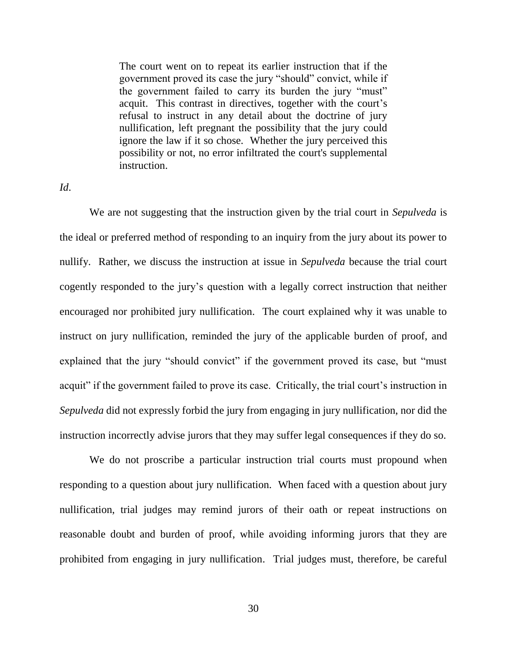The court went on to repeat its earlier instruction that if the government proved its case the jury "should" convict, while if the government failed to carry its burden the jury "must" acquit. This contrast in directives, together with the court's refusal to instruct in any detail about the doctrine of jury nullification, left pregnant the possibility that the jury could ignore the law if it so chose. Whether the jury perceived this possibility or not, no error infiltrated the court's supplemental instruction.

## *Id*.

We are not suggesting that the instruction given by the trial court in *Sepulveda* is the ideal or preferred method of responding to an inquiry from the jury about its power to nullify. Rather, we discuss the instruction at issue in *Sepulveda* because the trial court cogently responded to the jury's question with a legally correct instruction that neither encouraged nor prohibited jury nullification. The court explained why it was unable to instruct on jury nullification, reminded the jury of the applicable burden of proof, and explained that the jury "should convict" if the government proved its case, but "must acquit" if the government failed to prove its case. Critically, the trial court's instruction in *Sepulveda* did not expressly forbid the jury from engaging in jury nullification, nor did the instruction incorrectly advise jurors that they may suffer legal consequences if they do so.

We do not proscribe a particular instruction trial courts must propound when responding to a question about jury nullification. When faced with a question about jury nullification, trial judges may remind jurors of their oath or repeat instructions on reasonable doubt and burden of proof, while avoiding informing jurors that they are prohibited from engaging in jury nullification. Trial judges must, therefore, be careful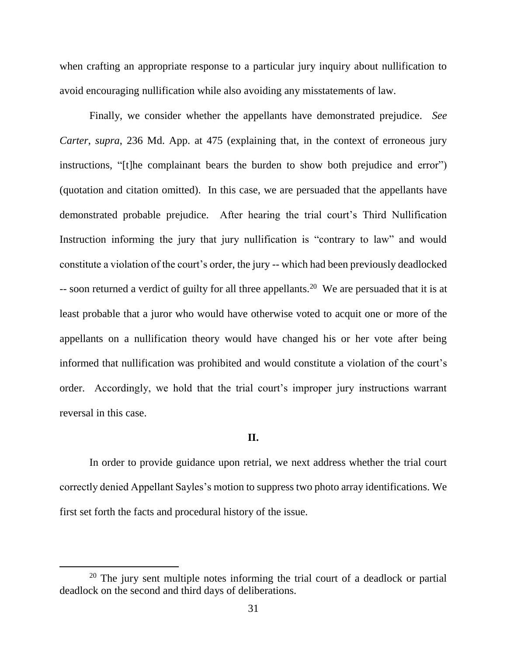when crafting an appropriate response to a particular jury inquiry about nullification to avoid encouraging nullification while also avoiding any misstatements of law.

Finally, we consider whether the appellants have demonstrated prejudice. *See Carter*, *supra*, 236 Md. App. at 475 (explaining that, in the context of erroneous jury instructions, "[t]he complainant bears the burden to show both prejudice and error") (quotation and citation omitted). In this case, we are persuaded that the appellants have demonstrated probable prejudice. After hearing the trial court's Third Nullification Instruction informing the jury that jury nullification is "contrary to law" and would constitute a violation of the court's order, the jury -- which had been previously deadlocked  $\sim$ - soon returned a verdict of guilty for all three appellants.<sup>20</sup> We are persuaded that it is at least probable that a juror who would have otherwise voted to acquit one or more of the appellants on a nullification theory would have changed his or her vote after being informed that nullification was prohibited and would constitute a violation of the court's order. Accordingly, we hold that the trial court's improper jury instructions warrant reversal in this case.

### **II.**

In order to provide guidance upon retrial, we next address whether the trial court correctly denied Appellant Sayles's motion to suppress two photo array identifications. We first set forth the facts and procedural history of the issue.

<sup>&</sup>lt;sup>20</sup> The jury sent multiple notes informing the trial court of a deadlock or partial deadlock on the second and third days of deliberations.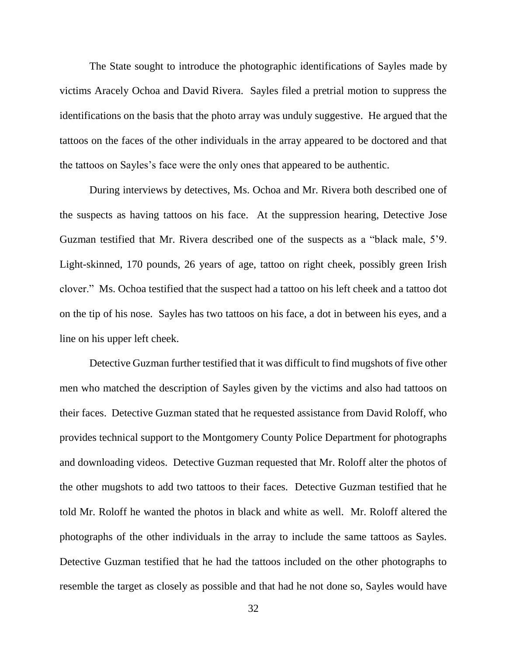The State sought to introduce the photographic identifications of Sayles made by victims Aracely Ochoa and David Rivera. Sayles filed a pretrial motion to suppress the identifications on the basis that the photo array was unduly suggestive. He argued that the tattoos on the faces of the other individuals in the array appeared to be doctored and that the tattoos on Sayles's face were the only ones that appeared to be authentic.

During interviews by detectives, Ms. Ochoa and Mr. Rivera both described one of the suspects as having tattoos on his face. At the suppression hearing, Detective Jose Guzman testified that Mr. Rivera described one of the suspects as a "black male, 5'9. Light-skinned, 170 pounds, 26 years of age, tattoo on right cheek, possibly green Irish clover." Ms. Ochoa testified that the suspect had a tattoo on his left cheek and a tattoo dot on the tip of his nose. Sayles has two tattoos on his face, a dot in between his eyes, and a line on his upper left cheek.

Detective Guzman further testified that it was difficult to find mugshots of five other men who matched the description of Sayles given by the victims and also had tattoos on their faces. Detective Guzman stated that he requested assistance from David Roloff, who provides technical support to the Montgomery County Police Department for photographs and downloading videos. Detective Guzman requested that Mr. Roloff alter the photos of the other mugshots to add two tattoos to their faces. Detective Guzman testified that he told Mr. Roloff he wanted the photos in black and white as well. Mr. Roloff altered the photographs of the other individuals in the array to include the same tattoos as Sayles. Detective Guzman testified that he had the tattoos included on the other photographs to resemble the target as closely as possible and that had he not done so, Sayles would have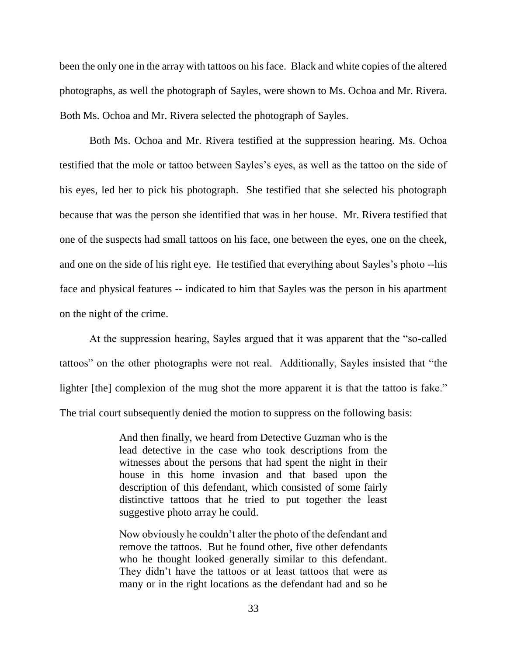been the only one in the array with tattoos on his face. Black and white copies of the altered photographs, as well the photograph of Sayles, were shown to Ms. Ochoa and Mr. Rivera. Both Ms. Ochoa and Mr. Rivera selected the photograph of Sayles.

Both Ms. Ochoa and Mr. Rivera testified at the suppression hearing. Ms. Ochoa testified that the mole or tattoo between Sayles's eyes, as well as the tattoo on the side of his eyes, led her to pick his photograph. She testified that she selected his photograph because that was the person she identified that was in her house. Mr. Rivera testified that one of the suspects had small tattoos on his face, one between the eyes, one on the cheek, and one on the side of his right eye. He testified that everything about Sayles's photo --his face and physical features -- indicated to him that Sayles was the person in his apartment on the night of the crime.

At the suppression hearing, Sayles argued that it was apparent that the "so-called tattoos" on the other photographs were not real. Additionally, Sayles insisted that "the lighter [the] complexion of the mug shot the more apparent it is that the tattoo is fake." The trial court subsequently denied the motion to suppress on the following basis:

> And then finally, we heard from Detective Guzman who is the lead detective in the case who took descriptions from the witnesses about the persons that had spent the night in their house in this home invasion and that based upon the description of this defendant, which consisted of some fairly distinctive tattoos that he tried to put together the least suggestive photo array he could.

> Now obviously he couldn't alter the photo of the defendant and remove the tattoos. But he found other, five other defendants who he thought looked generally similar to this defendant. They didn't have the tattoos or at least tattoos that were as many or in the right locations as the defendant had and so he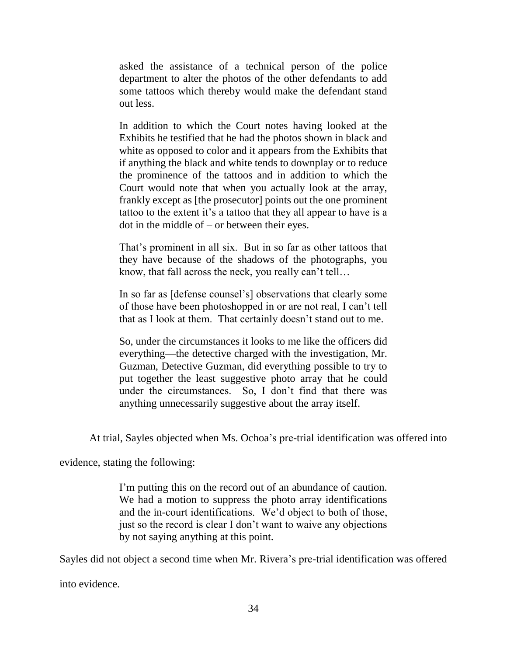asked the assistance of a technical person of the police department to alter the photos of the other defendants to add some tattoos which thereby would make the defendant stand out less.

In addition to which the Court notes having looked at the Exhibits he testified that he had the photos shown in black and white as opposed to color and it appears from the Exhibits that if anything the black and white tends to downplay or to reduce the prominence of the tattoos and in addition to which the Court would note that when you actually look at the array, frankly except as [the prosecutor] points out the one prominent tattoo to the extent it's a tattoo that they all appear to have is a dot in the middle of – or between their eyes.

That's prominent in all six. But in so far as other tattoos that they have because of the shadows of the photographs, you know, that fall across the neck, you really can't tell…

In so far as [defense counsel's] observations that clearly some of those have been photoshopped in or are not real, I can't tell that as I look at them. That certainly doesn't stand out to me.

So, under the circumstances it looks to me like the officers did everything—the detective charged with the investigation, Mr. Guzman, Detective Guzman, did everything possible to try to put together the least suggestive photo array that he could under the circumstances. So, I don't find that there was anything unnecessarily suggestive about the array itself.

At trial, Sayles objected when Ms. Ochoa's pre-trial identification was offered into

evidence, stating the following:

I'm putting this on the record out of an abundance of caution. We had a motion to suppress the photo array identifications and the in-court identifications. We'd object to both of those, just so the record is clear I don't want to waive any objections by not saying anything at this point.

Sayles did not object a second time when Mr. Rivera's pre-trial identification was offered

into evidence.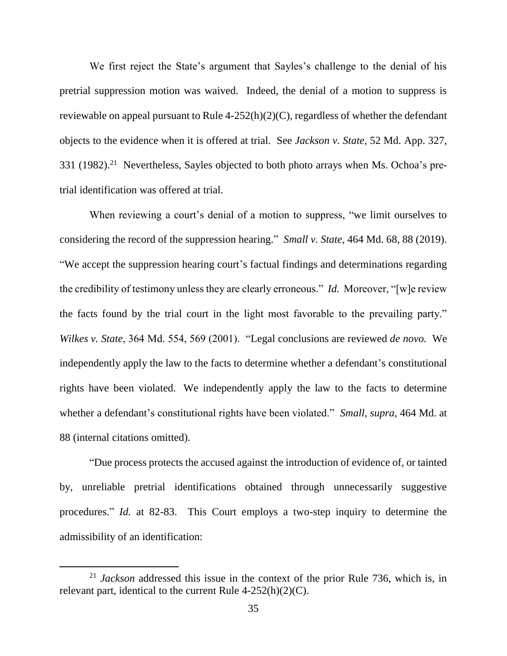We first reject the State's argument that Sayles's challenge to the denial of his pretrial suppression motion was waived. Indeed, the denial of a motion to suppress is reviewable on appeal pursuant to Rule 4-252(h)(2)(C), regardless of whether the defendant objects to the evidence when it is offered at trial. See *Jackson v. State*, 52 Md. App. 327, 331 (1982).<sup>21</sup> Nevertheless, Sayles objected to both photo arrays when Ms. Ochoa's pretrial identification was offered at trial.

When reviewing a court's denial of a motion to suppress, "we limit ourselves to considering the record of the suppression hearing." *Small v. State*, 464 Md. 68, 88 (2019). "We accept the suppression hearing court's factual findings and determinations regarding the credibility of testimony unless they are clearly erroneous." *Id.* Moreover, "[w]e review the facts found by the trial court in the light most favorable to the prevailing party." *Wilkes v. State*, 364 Md. 554, 569 (2001). "Legal conclusions are reviewed *de novo.* We independently apply the law to the facts to determine whether a defendant's constitutional rights have been violated. We independently apply the law to the facts to determine whether a defendant's constitutional rights have been violated." *Small*, *supra*, 464 Md. at 88 (internal citations omitted).

"Due process protects the accused against the introduction of evidence of, or tainted by, unreliable pretrial identifications obtained through unnecessarily suggestive procedures." *Id.* at 82-83. This Court employs a two-step inquiry to determine the admissibility of an identification:

<sup>21</sup> *Jackson* addressed this issue in the context of the prior Rule 736, which is, in relevant part, identical to the current Rule  $4-252(h)(2)(C)$ .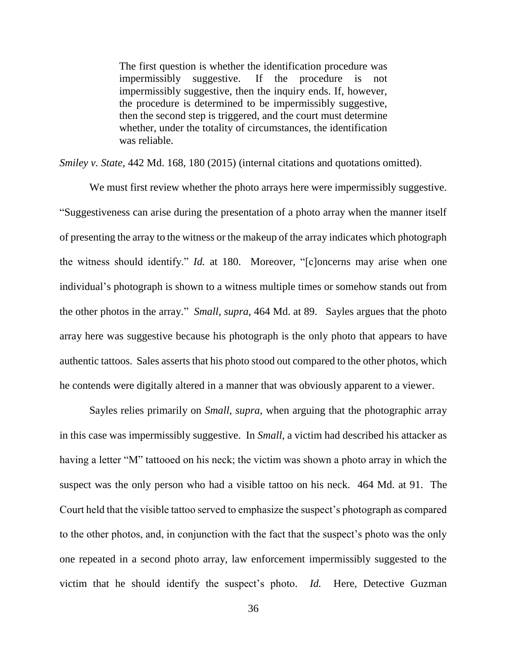The first question is whether the identification procedure was impermissibly suggestive. If the procedure is not impermissibly suggestive, then the inquiry ends. If, however, the procedure is determined to be impermissibly suggestive, then the second step is triggered, and the court must determine whether, under the totality of circumstances, the identification was reliable.

*Smiley v. State*, 442 Md. 168, 180 (2015) (internal citations and quotations omitted).

We must first review whether the photo arrays here were impermissibly suggestive. "Suggestiveness can arise during the presentation of a photo array when the manner itself of presenting the array to the witness or the makeup of the array indicates which photograph the witness should identify." *Id.* at 180. Moreover, "[c]oncerns may arise when one individual's photograph is shown to a witness multiple times or somehow stands out from the other photos in the array." *Small*, *supra*, 464 Md. at 89. Sayles argues that the photo array here was suggestive because his photograph is the only photo that appears to have authentic tattoos. Sales asserts that his photo stood out compared to the other photos, which he contends were digitally altered in a manner that was obviously apparent to a viewer.

Sayles relies primarily on *Small*, *supra*, when arguing that the photographic array in this case was impermissibly suggestive. In *Small*, a victim had described his attacker as having a letter "M" tattooed on his neck; the victim was shown a photo array in which the suspect was the only person who had a visible tattoo on his neck. 464 Md. at 91. The Court held that the visible tattoo served to emphasize the suspect's photograph as compared to the other photos, and, in conjunction with the fact that the suspect's photo was the only one repeated in a second photo array, law enforcement impermissibly suggested to the victim that he should identify the suspect's photo. *Id.* Here, Detective Guzman